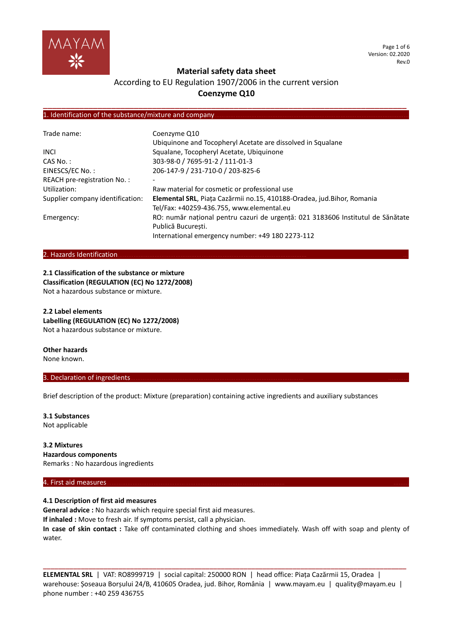

Page 1 of 6 Version: 02.2020 Rev.0

# **Material safety data sheet**

# According to EU Regulation 1907/2006 in the current version **Coenzyme Q10**

**\_\_\_\_\_\_\_\_\_\_\_\_\_\_\_\_\_\_\_\_\_\_\_\_\_\_\_\_\_\_\_\_\_\_\_\_\_\_\_\_\_\_\_\_\_\_\_\_\_\_\_\_\_\_\_\_\_\_\_\_\_\_\_\_\_\_\_\_\_\_\_\_\_\_\_\_\_\_\_\_**

## 1. Identification of the substance/mixture and company.

| Trade name:                      | Coenzyme Q10                                                                    |
|----------------------------------|---------------------------------------------------------------------------------|
|                                  | Ubiquinone and Tocopheryl Acetate are dissolved in Squalane                     |
| <b>INCL</b>                      | Squalane, Tocopheryl Acetate, Ubiquinone                                        |
| $CAS No.$ :                      | 303-98-0 / 7695-91-2 / 111-01-3                                                 |
| EINESCS/EC No.:                  | 206-147-9 / 231-710-0 / 203-825-6                                               |
| REACH pre-registration No.:      |                                                                                 |
| Utilization:                     | Raw material for cosmetic or professional use                                   |
| Supplier company identification: | Elemental SRL, Piața Cazărmii no.15, 410188-Oradea, jud. Bihor, Romania         |
|                                  | Tel/Fax: +40259-436.755, www.elemental.eu                                       |
| Emergency:                       | RO: număr național pentru cazuri de urgență: 021 3183606 Institutul de Sănătate |
|                                  | Publică Bucuresti.                                                              |
|                                  | International emergency number: +49 180 2273-112                                |

#### 2. Hazards Identification...

**2.1 Classification of the substance or mixture Classification (REGULATION (EC) No 1272/2008)** Not a hazardous substance or mixture.

**2.2 Label elements Labelling (REGULATION (EC) No 1272/2008)** Not a hazardous substance or mixture.

# **Other hazards**

None known.

## 3. Declaration of ingredients.

Brief description of the product: Mixture (preparation) containing active ingredients and auxiliary substances

**3.1 Substances** Not applicable

**3.2 Mixtures Hazardous components** Remarks : No hazardous ingredients

#### 4. First aid measures.

**4.1 Description of first aid measures General advice :** No hazards which require special first aid measures. **If inhaled :** Move to fresh air. If symptoms persist, call a physician. **In case of skin contact :** Take off contaminated clothing and shoes immediately. Wash off with soap and plenty of water.

**ELEMENTAL SRL** | VAT: RO8999719 | social capital: 250000 RON | head office: Piața Cazărmii 15, Oradea | warehouse: Șoseaua Borșului 24/B, 410605 Oradea, jud. Bihor, România | www.mayam.eu | quality@mayam.eu | phone number : +40 259 436755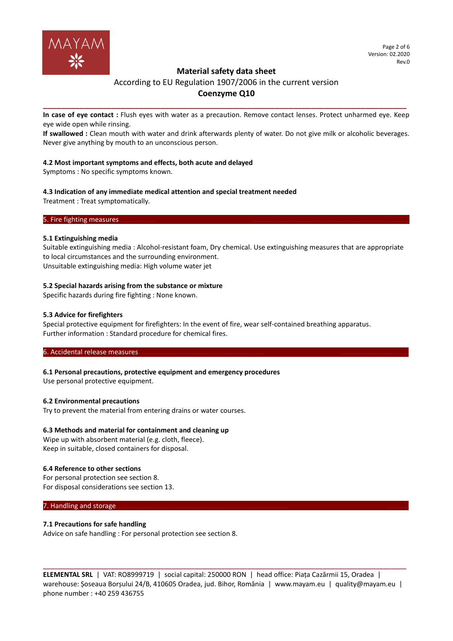

# **Material safety data sheet**

# According to EU Regulation 1907/2006 in the current version **Coenzyme Q10**

**\_\_\_\_\_\_\_\_\_\_\_\_\_\_\_\_\_\_\_\_\_\_\_\_\_\_\_\_\_\_\_\_\_\_\_\_\_\_\_\_\_\_\_\_\_\_\_\_\_\_\_\_\_\_\_\_\_\_\_\_\_\_\_\_\_\_\_\_\_\_\_\_\_\_\_\_\_\_\_\_ In case of eye contact :** Flush eyes with water as a precaution. Remove contact lenses. Protect unharmed eye. Keep eye wide open while rinsing.

**If swallowed :** Clean mouth with water and drink afterwards plenty of water. Do not give milk or alcoholic beverages. Never give anything by mouth to an unconscious person.

# **4.2 Most important symptoms and effects, both acute and delayed**

Symptoms : No specific symptoms known.

# **4.3 Indication of any immediate medical attention and special treatment needed**

Treatment : Treat symptomatically.

## 5. Fire fighting measures.

## **5.1 Extinguishing media**

Suitable extinguishing media : Alcohol-resistant foam, Dry chemical. Use extinguishing measures that are appropriate to local circumstances and the surrounding environment. Unsuitable extinguishing media: High volume water jet

## **5.2 Special hazards arising from the substance or mixture**

Specific hazards during fire fighting : None known.

## **5.3 Advice for firefighters**

Special protective equipment for firefighters: In the event of fire, wear self-contained breathing apparatus. Further information : Standard procedure for chemical fires.

#### 6. Accidental release measures.

# **6.1 Personal precautions, protective equipment and emergency procedures**

Use personal protective equipment.

# **6.2 Environmental precautions**

Try to prevent the material from entering drains or water courses.

# **6.3 Methods and material for containment and cleaning up**

Wipe up with absorbent material (e.g. cloth, fleece). Keep in suitable, closed containers for disposal.

#### **6.4 Reference to other sections**

For personal protection see section 8. For disposal considerations see section 13.

#### 7. Handling and storage

#### **7.1 Precautions for safe handling**

Advice on safe handling : For personal protection see section 8.

**ELEMENTAL SRL** | VAT: RO8999719 | social capital: 250000 RON | head office: Piața Cazărmii 15, Oradea | warehouse: Șoseaua Borșului 24/B, 410605 Oradea, jud. Bihor, România | www.mayam.eu | quality@mayam.eu | phone number : +40 259 436755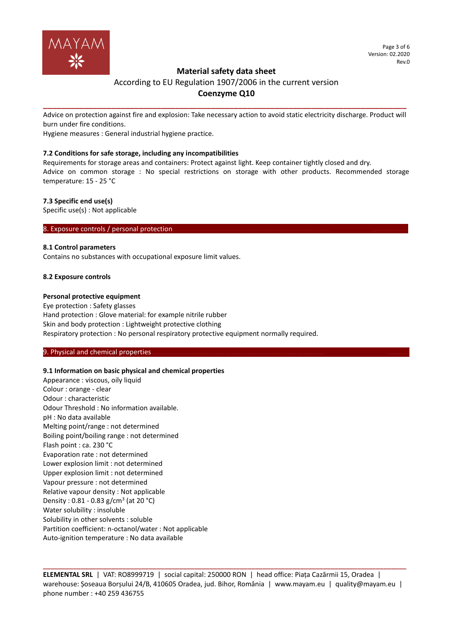

# **Material safety data sheet**

# According to EU Regulation 1907/2006 in the current version **Coenzyme Q10**

**\_\_\_\_\_\_\_\_\_\_\_\_\_\_\_\_\_\_\_\_\_\_\_\_\_\_\_\_\_\_\_\_\_\_\_\_\_\_\_\_\_\_\_\_\_\_\_\_\_\_\_\_\_\_\_\_\_\_\_\_\_\_\_\_\_\_\_\_\_\_\_\_\_\_\_\_\_\_\_\_** Advice on protection against fire and explosion: Take necessary action to avoid static electricity discharge. Product will burn under fire conditions.

Hygiene measures : General industrial hygiene practice.

## **7.2 Conditions for safe storage, including any incompatibilities**

Requirements for storage areas and containers: Protect against light. Keep container tightly closed and dry. Advice on common storage : No special restrictions on storage with other products. Recommended storage temperature: 15 - 25 °C

## **7.3 Specific end use(s)**

Specific use(s) : Not applicable

8. Exposure controls / personal protection.

## **8.1 Control parameters**

Contains no substances with occupational exposure limit values.

## **8.2 Exposure controls**

## **Personal protective equipment**

Eye protection : Safety glasses Hand protection : Glove material: for example nitrile rubber Skin and body protection : Lightweight protective clothing Respiratory protection : No personal respiratory protective equipment normally required.

#### 9. Physical and chemical properties

#### **9.1 Information on basic physical and chemical properties**

Appearance : viscous, oily liquid Colour : orange - clear Odour : characteristic Odour Threshold : No information available. pH : No data available Melting point/range : not determined Boiling point/boiling range : not determined Flash point : ca. 230 °C Evaporation rate : not determined Lower explosion limit : not determined Upper explosion limit : not determined Vapour pressure : not determined Relative vapour density : Not applicable Density: 0.81 - 0.83 g/cm<sup>3</sup> (at 20 °C) Water solubility : insoluble Solubility in other solvents : soluble Partition coefficient: n-octanol/water : Not applicable Auto-ignition temperature : No data available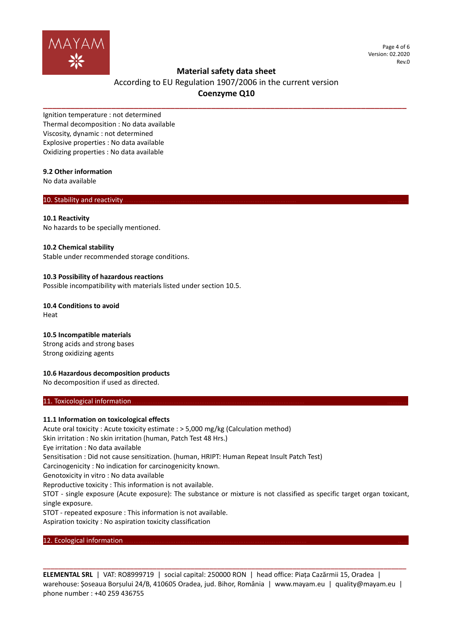

Page 4 of 6 Version: 02.2020 Rev.0

# **Material safety data sheet**

# According to EU Regulation 1907/2006 in the current version **Coenzyme Q10**

**\_\_\_\_\_\_\_\_\_\_\_\_\_\_\_\_\_\_\_\_\_\_\_\_\_\_\_\_\_\_\_\_\_\_\_\_\_\_\_\_\_\_\_\_\_\_\_\_\_\_\_\_\_\_\_\_\_\_\_\_\_\_\_\_\_\_\_\_\_\_\_\_\_\_\_\_\_\_\_\_**

Ignition temperature : not determined Thermal decomposition : No data available Viscosity, dynamic : not determined Explosive properties : No data available Oxidizing properties : No data available

## **9.2 Other information**

No data available

## 10. Stability and reactivity.

#### **10.1 Reactivity**

No hazards to be specially mentioned.

#### **10.2 Chemical stability**

Stable under recommended storage conditions.

#### **10.3 Possibility of hazardous reactions**

Possible incompatibility with materials listed under section 10.5.

**10.4 Conditions to avoid** Heat

#### **10.5 Incompatible materials**

Strong acids and strong bases Strong oxidizing agents

# **10.6 Hazardous decomposition products**

No decomposition if used as directed.

### 11. Toxicological information.

#### **11.1 Information on toxicological effects**

Acute oral toxicity : Acute toxicity estimate : > 5,000 mg/kg (Calculation method) Skin irritation : No skin irritation (human, Patch Test 48 Hrs.) Eye irritation : No data available Sensitisation : Did not cause sensitization. (human, HRIPT: Human Repeat Insult Patch Test) Carcinogenicity : No indication for carcinogenicity known. Genotoxicity in vitro : No data available Reproductive toxicity : This information is not available. STOT - single exposure (Acute exposure): The substance or mixture is not classified as specific target organ toxicant, single exposure. STOT - repeated exposure : This information is not available. Aspiration toxicity : No aspiration toxicity classification

12. Ecological information.

**ELEMENTAL SRL** | VAT: RO8999719 | social capital: 250000 RON | head office: Piața Cazărmii 15, Oradea | warehouse: Șoseaua Borșului 24/B, 410605 Oradea, jud. Bihor, România | www.mayam.eu | quality@mayam.eu | phone number : +40 259 436755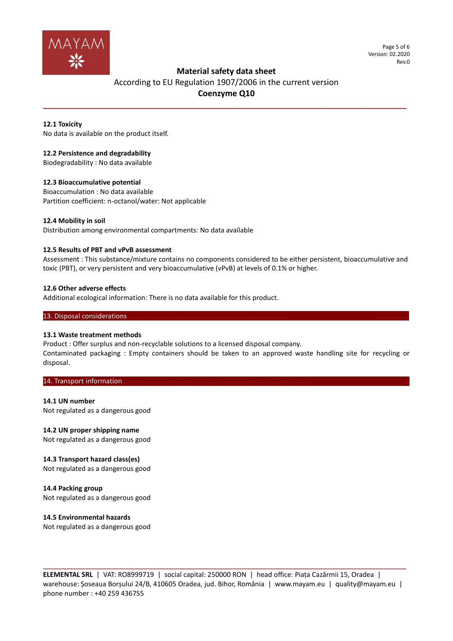

Page 5 of 6 Version: 02.2020 Rev.0

# **Material safety data sheet**

# According to EU Regulation 1907/2006 in the current version **Coenzyme Q10**

**\_\_\_\_\_\_\_\_\_\_\_\_\_\_\_\_\_\_\_\_\_\_\_\_\_\_\_\_\_\_\_\_\_\_\_\_\_\_\_\_\_\_\_\_\_\_\_\_\_\_\_\_\_\_\_\_\_\_\_\_\_\_\_\_\_\_\_\_\_\_\_\_\_\_\_\_\_\_\_\_**

## **12.1 Toxicity**

No data is available on the product itself.

## **12.2 Persistence and degradability**

Biodegradability : No data available

## **12.3 Bioaccumulative potential**

Bioaccumulation : No data available Partition coefficient: n-octanol/water: Not applicable

#### **12.4 Mobility in soil**

Distribution among environmental compartments: No data available

#### **12.5 Results of PBT and vPvB assessment**

Assessment : This substance/mixture contains no components considered to be either persistent, bioaccumulative and toxic (PBT), or very persistent and very bioaccumulative (vPvB) at levels of 0.1% or higher.

#### **12.6 Other adverse effects**

Additional ecological information: There is no data available for this product.

#### 13. Disposal considerations

#### **13.1 Waste treatment methods**

Product : Offer surplus and non-recyclable solutions to a licensed disposal company.

Contaminated packaging : Empty containers should be taken to an approved waste handling site for recycling or disposal.

#### 14. Transport information.

#### **14.1 UN number**

Not regulated as a dangerous good

# **14.2 UN proper shipping name**

Not regulated as a dangerous good

#### **14.3 Transport hazard class(es)**

Not regulated as a dangerous good

**14.4 Packing group** Not regulated as a dangerous good

# **14.5 Environmental hazards**

Not regulated as a dangerous good